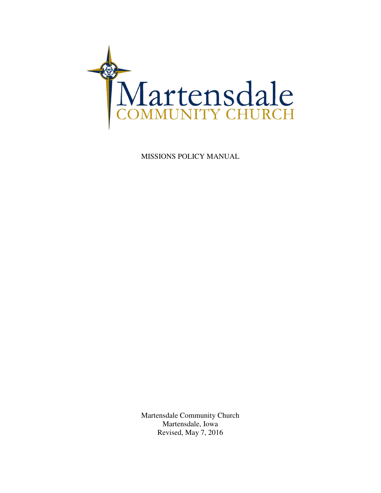

MISSIONS POLICY MANUAL

Martensdale Community Church Martensdale, Iowa Revised, May 7, 2016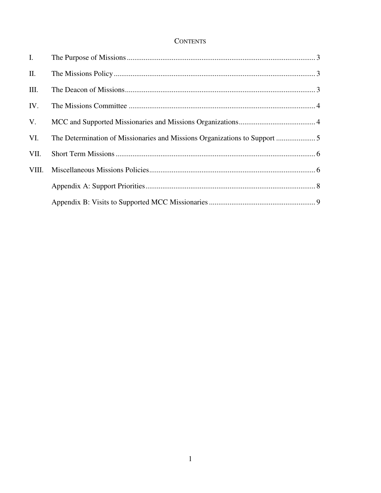# **CONTENTS**

| $\mathbf{I}$ . |  |
|----------------|--|
| II.            |  |
| III.           |  |
| IV.            |  |
| V.             |  |
| VI.            |  |
| VII.           |  |
| VIII.          |  |
|                |  |
|                |  |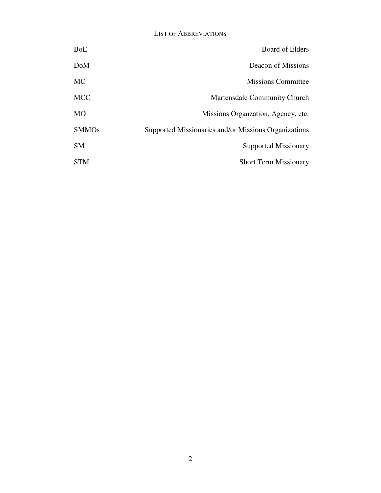#### LIST OF ABBREVIATIONS

| <b>BoE</b>   | <b>Board of Elders</b>                               |
|--------------|------------------------------------------------------|
| DoM          | Deacon of Missions                                   |
| <b>MC</b>    | <b>Missions Committee</b>                            |
| <b>MCC</b>   | <b>Martensdale Community Church</b>                  |
| MO           | Missions Organization, Agency, etc.                  |
| <b>SMMOs</b> | Supported Missionaries and/or Missions Organizations |
| <b>SM</b>    | <b>Supported Missionary</b>                          |
| <b>STM</b>   | <b>Short Term Missionary</b>                         |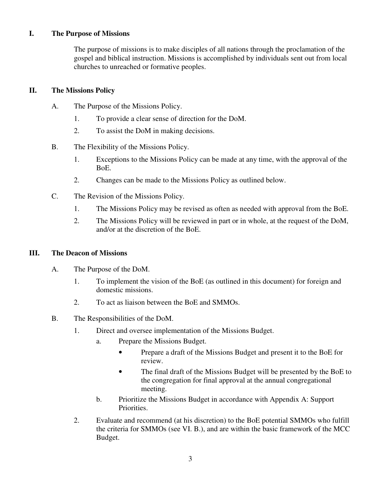## **I. The Purpose of Missions**

The purpose of missions is to make disciples of all nations through the proclamation of the gospel and biblical instruction. Missions is accomplished by individuals sent out from local churches to unreached or formative peoples.

#### **II. The Missions Policy**

- A. The Purpose of the Missions Policy.
	- 1. To provide a clear sense of direction for the DoM.
	- 2. To assist the DoM in making decisions.
- B. The Flexibility of the Missions Policy.
	- 1. Exceptions to the Missions Policy can be made at any time, with the approval of the BoE.
	- 2. Changes can be made to the Missions Policy as outlined below.
- C. The Revision of the Missions Policy.
	- 1. The Missions Policy may be revised as often as needed with approval from the BoE.
	- 2. The Missions Policy will be reviewed in part or in whole, at the request of the DoM, and/or at the discretion of the BoE.

#### **III. The Deacon of Missions**

- A. The Purpose of the DoM.
	- 1. To implement the vision of the BoE (as outlined in this document) for foreign and domestic missions.
	- 2. To act as liaison between the BoE and SMMOs.
- B. The Responsibilities of the DoM.
	- 1. Direct and oversee implementation of the Missions Budget.
		- a. Prepare the Missions Budget.
			- Prepare a draft of the Missions Budget and present it to the BoE for review.
			- The final draft of the Missions Budget will be presented by the BoE to the congregation for final approval at the annual congregational meeting.
		- b. Prioritize the Missions Budget in accordance with Appendix A: Support Priorities.
	- 2. Evaluate and recommend (at his discretion) to the BoE potential SMMOs who fulfill the criteria for SMMOs (see VI. B.), and are within the basic framework of the MCC Budget.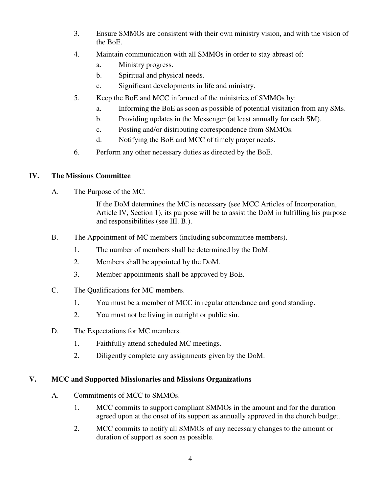- 3. Ensure SMMOs are consistent with their own ministry vision, and with the vision of the BoE.
- 4. Maintain communication with all SMMOs in order to stay abreast of:
	- a. Ministry progress.
	- b. Spiritual and physical needs.
	- c. Significant developments in life and ministry.
- 5. Keep the BoE and MCC informed of the ministries of SMMOs by:
	- a. Informing the BoE as soon as possible of potential visitation from any SMs.
	- b. Providing updates in the Messenger (at least annually for each SM).
	- c. Posting and/or distributing correspondence from SMMOs.
	- d. Notifying the BoE and MCC of timely prayer needs.
- 6. Perform any other necessary duties as directed by the BoE.

## **IV. The Missions Committee**

A. The Purpose of the MC.

If the DoM determines the MC is necessary (see MCC Articles of Incorporation, Article IV, Section 1), its purpose will be to assist the DoM in fulfilling his purpose and responsibilities (see III. B.).

- B. The Appointment of MC members (including subcommittee members).
	- 1. The number of members shall be determined by the DoM.
	- 2. Members shall be appointed by the DoM.
	- 3. Member appointments shall be approved by BoE.
- C. The Qualifications for MC members.
	- 1. You must be a member of MCC in regular attendance and good standing.
	- 2. You must not be living in outright or public sin.
- D. The Expectations for MC members.
	- 1. Faithfully attend scheduled MC meetings.
	- 2. Diligently complete any assignments given by the DoM.

## **V. MCC and Supported Missionaries and Missions Organizations**

- A. Commitments of MCC to SMMOs.
	- 1. MCC commits to support compliant SMMOs in the amount and for the duration agreed upon at the onset of its support as annually approved in the church budget.
	- 2. MCC commits to notify all SMMOs of any necessary changes to the amount or duration of support as soon as possible.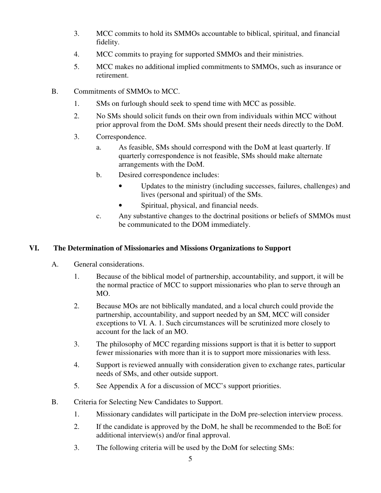- 3. MCC commits to hold its SMMOs accountable to biblical, spiritual, and financial fidelity.
- 4. MCC commits to praying for supported SMMOs and their ministries.
- 5. MCC makes no additional implied commitments to SMMOs, such as insurance or retirement.
- B. Commitments of SMMOs to MCC.
	- 1. SMs on furlough should seek to spend time with MCC as possible.
	- 2. No SMs should solicit funds on their own from individuals within MCC without prior approval from the DoM. SMs should present their needs directly to the DoM.
	- 3. Correspondence.
		- a. As feasible, SMs should correspond with the DoM at least quarterly. If quarterly correspondence is not feasible, SMs should make alternate arrangements with the DoM.
		- b. Desired correspondence includes:
			- Updates to the ministry (including successes, failures, challenges) and lives (personal and spiritual) of the SMs.
			- Spiritual, physical, and financial needs.
		- c. Any substantive changes to the doctrinal positions or beliefs of SMMOs must be communicated to the DOM immediately.

# **VI. The Determination of Missionaries and Missions Organizations to Support**

- A. General considerations.
	- 1. Because of the biblical model of partnership, accountability, and support, it will be the normal practice of MCC to support missionaries who plan to serve through an MO.
	- 2. Because MOs are not biblically mandated, and a local church could provide the partnership, accountability, and support needed by an SM, MCC will consider exceptions to VI. A. 1. Such circumstances will be scrutinized more closely to account for the lack of an MO.
	- 3. The philosophy of MCC regarding missions support is that it is better to support fewer missionaries with more than it is to support more missionaries with less.
	- 4. Support is reviewed annually with consideration given to exchange rates, particular needs of SMs, and other outside support.
	- 5. See Appendix A for a discussion of MCC's support priorities.
- B. Criteria for Selecting New Candidates to Support.
	- 1. Missionary candidates will participate in the DoM pre-selection interview process.
	- 2. If the candidate is approved by the DoM, he shall be recommended to the BoE for additional interview(s) and/or final approval.
	- 3. The following criteria will be used by the DoM for selecting SMs: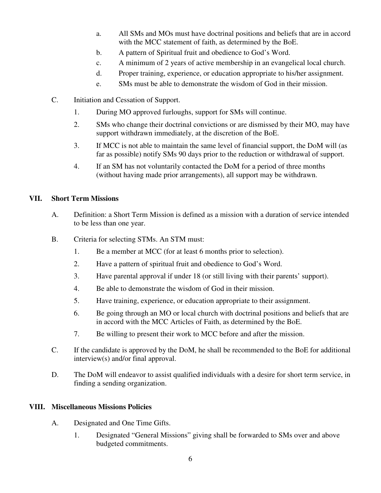- a. All SMs and MOs must have doctrinal positions and beliefs that are in accord with the MCC statement of faith, as determined by the BoE.
- b. A pattern of Spiritual fruit and obedience to God's Word.
- c. A minimum of 2 years of active membership in an evangelical local church.
- d. Proper training, experience, or education appropriate to his/her assignment.
- e. SMs must be able to demonstrate the wisdom of God in their mission.
- C. Initiation and Cessation of Support.
	- 1. During MO approved furloughs, support for SMs will continue.
	- 2. SMs who change their doctrinal convictions or are dismissed by their MO, may have support withdrawn immediately, at the discretion of the BoE.
	- 3. If MCC is not able to maintain the same level of financial support, the DoM will (as far as possible) notify SMs 90 days prior to the reduction or withdrawal of support.
	- 4. If an SM has not voluntarily contacted the DoM for a period of three months (without having made prior arrangements), all support may be withdrawn.

## **VII. Short Term Missions**

- A. Definition: a Short Term Mission is defined as a mission with a duration of service intended to be less than one year.
- B. Criteria for selecting STMs. An STM must:
	- 1. Be a member at MCC (for at least 6 months prior to selection).
	- 2. Have a pattern of spiritual fruit and obedience to God's Word.
	- 3. Have parental approval if under 18 (or still living with their parents' support).
	- 4. Be able to demonstrate the wisdom of God in their mission.
	- 5. Have training, experience, or education appropriate to their assignment.
	- 6. Be going through an MO or local church with doctrinal positions and beliefs that are in accord with the MCC Articles of Faith, as determined by the BoE.
	- 7. Be willing to present their work to MCC before and after the mission.
- C. If the candidate is approved by the DoM, he shall be recommended to the BoE for additional interview(s) and/or final approval.
- D. The DoM will endeavor to assist qualified individuals with a desire for short term service, in finding a sending organization.

## **VIII. Miscellaneous Missions Policies**

- A. Designated and One Time Gifts.
	- 1. Designated "General Missions" giving shall be forwarded to SMs over and above budgeted commitments.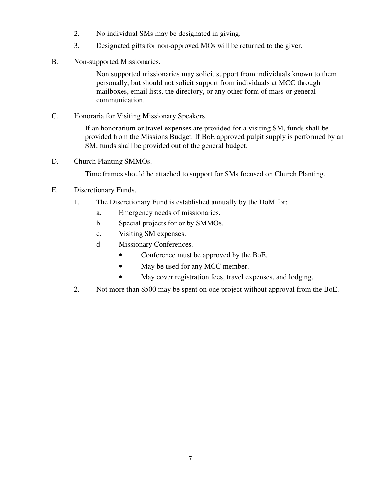- 2. No individual SMs may be designated in giving.
- 3. Designated gifts for non-approved MOs will be returned to the giver.
- B. Non-supported Missionaries.

Non supported missionaries may solicit support from individuals known to them personally, but should not solicit support from individuals at MCC through mailboxes, email lists, the directory, or any other form of mass or general communication.

C. Honoraria for Visiting Missionary Speakers.

If an honorarium or travel expenses are provided for a visiting SM, funds shall be provided from the Missions Budget. If BoE approved pulpit supply is performed by an SM, funds shall be provided out of the general budget.

D. Church Planting SMMOs.

Time frames should be attached to support for SMs focused on Church Planting.

- E. Discretionary Funds.
	- 1. The Discretionary Fund is established annually by the DoM for:
		- a. Emergency needs of missionaries.
		- b. Special projects for or by SMMOs.
		- c. Visiting SM expenses.
		- d. Missionary Conferences.
			- Conference must be approved by the BoE.
			- May be used for any MCC member.
			- May cover registration fees, travel expenses, and lodging.
	- 2. Not more than \$500 may be spent on one project without approval from the BoE.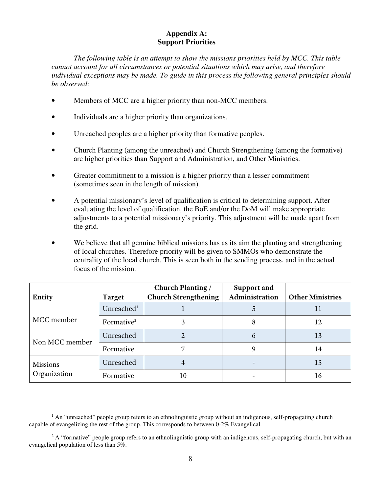## **Appendix A: Support Priorities**

*The following table is an attempt to show the missions priorities held by MCC. This table cannot account for all circumstances or potential situations which may arise, and therefore individual exceptions may be made. To guide in this process the following general principles should be observed:* 

- Members of MCC are a higher priority than non-MCC members.
- Individuals are a higher priority than organizations.
- Unreached peoples are a higher priority than formative peoples.
- Church Planting (among the unreached) and Church Strengthening (among the formative) are higher priorities than Support and Administration, and Other Ministries.
- Greater commitment to a mission is a higher priority than a lesser commitment (sometimes seen in the length of mission).
- A potential missionary's level of qualification is critical to determining support. After evaluating the level of qualification, the BoE and/or the DoM will make appropriate adjustments to a potential missionary's priority. This adjustment will be made apart from the grid.
- We believe that all genuine biblical missions has as its aim the planting and strengthening of local churches. Therefore priority will be given to SMMOs who demonstrate the centrality of the local church. This is seen both in the sending process, and in the actual focus of the mission.

| Entity          | <b>Target</b>          | <b>Church Planting /</b><br><b>Church Strengthening</b> | <b>Support and</b><br>Administration | <b>Other Ministries</b> |
|-----------------|------------------------|---------------------------------------------------------|--------------------------------------|-------------------------|
|                 | Unreached <sup>1</sup> |                                                         |                                      |                         |
| MCC member      | Formative <sup>2</sup> | 3                                                       | 8                                    | 12                      |
| Non MCC member  | Unreached              |                                                         | 6                                    | 13                      |
|                 | Formative              |                                                         | 9                                    | 14                      |
| <b>Missions</b> | Unreached              |                                                         |                                      | 15                      |
| Organization    | Formative              | 10                                                      |                                      | 16                      |

 $\overline{a}$ 

<sup>&</sup>lt;sup>1</sup> An "unreached" people group refers to an ethnolinguistic group without an indigenous, self-propagating church capable of evangelizing the rest of the group. This corresponds to between 0-2% Evangelical.

<sup>&</sup>lt;sup>2</sup> A "formative" people group refers to an ethnolinguistic group with an indigenous, self-propagating church, but with an evangelical population of less than 5%.